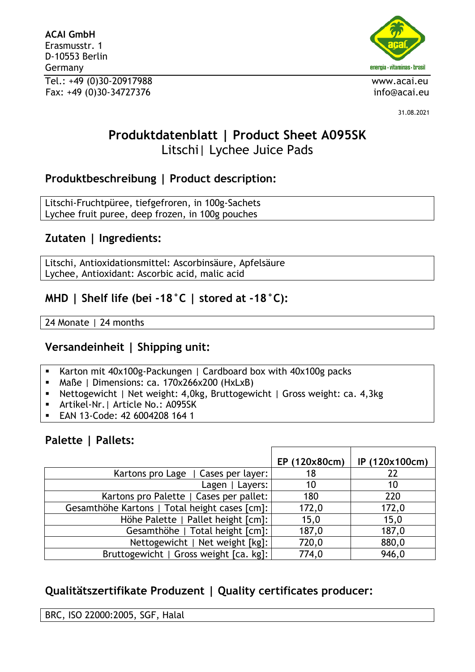**ACAI GmbH** Erasmusstr. 1 D-10553 Berlin Germany Tel.: +49 (0)30-20917988 www.acai.eu Fax: +49 (0)30-34727376 info@acai.eu



31.08.2021

# **Produktdatenblatt | Product Sheet A095SK** Litschi| Lychee Juice Pads

## **Produktbeschreibung | Product description:**

Litschi-Fruchtpüree, tiefgefroren, in 100g-Sachets Lychee fruit puree, deep frozen, in 100g pouches

## **Zutaten | Ingredients:**

Litschi, Antioxidationsmittel: Ascorbinsäure, Apfelsäure Lychee, Antioxidant: Ascorbic acid, malic acid

## **MHD | Shelf life (bei -18°C | stored at -18°C):**

24 Monate | 24 months

## **Versandeinheit | Shipping unit:**

- Karton mit 40x100g-Packungen | Cardboard box with 40x100g packs
- Maße | Dimensions: ca. 170x266x200 (HxLxB)
- Nettogewicht | Net weight: 4,0kg, Bruttogewicht | Gross weight: ca. 4,3kg
- Artikel-Nr.| Article No.: A095SK
- EAN 13-Code: 42 6004208 164 1

### **Palette | Pallets:**

|                                               | EP (120x80cm) | IP (120x100cm) |
|-----------------------------------------------|---------------|----------------|
| Kartons pro Lage   Cases per layer:           | 18            | 22             |
| Lagen   Layers:                               | 10            | 10             |
| Kartons pro Palette   Cases per pallet:       | 180           | 220            |
| Gesamthöhe Kartons   Total height cases [cm]: | 172,0         | 172,0          |
| Höhe Palette   Pallet height [cm]:            | 15,0          | 15,0           |
| Gesamthöhe   Total height [cm]:               | 187,0         | 187,0          |
| Nettogewicht   Net weight [kg]:               | 720,0         | 880,0          |
| Bruttogewicht   Gross weight [ca. kg]:        | 774,0         | 946,0          |

## **Qualitätszertifikate Produzent | Quality certificates producer:**

BRC, ISO 22000:2005, SGF, Halal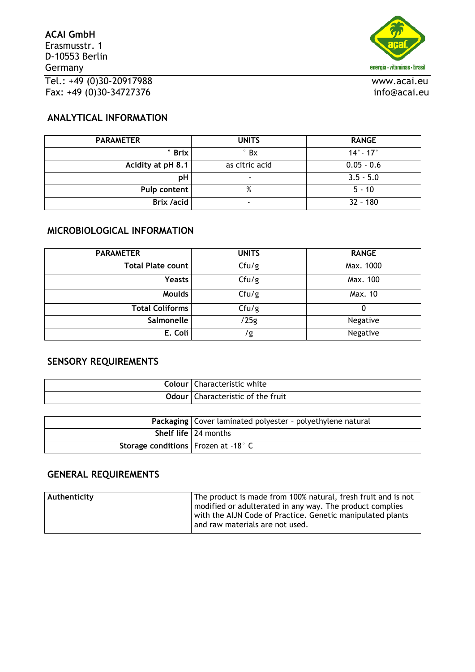

#### **ANALYTICAL INFORMATION**

| <b>PARAMETER</b>  | <b>UNITS</b>             | <b>RANGE</b>                 |  |
|-------------------|--------------------------|------------------------------|--|
| $^{\circ}$ Brix   | $\degree$ Bx             | $14^{\circ}$ - 17 $^{\circ}$ |  |
| Acidity at pH 8.1 | as citric acid           | $0.05 - 0.6$                 |  |
| рH                | $\overline{\phantom{a}}$ | $3.5 - 5.0$                  |  |
| Pulp content      | %                        | $5 - 10$                     |  |
| Brix /acid        | ۰                        | $32 - 180$                   |  |

#### **MICROBIOLOGICAL INFORMATION**

| <b>PARAMETER</b>         | <b>UNITS</b> | <b>RANGE</b> |
|--------------------------|--------------|--------------|
| <b>Total Plate count</b> | Cfu/g        | Max. 1000    |
| <b>Yeasts</b>            | Cfu/g        | Max. 100     |
| <b>Moulds</b>            | Cfu/g        | Max. 10      |
| <b>Total Coliforms</b>   | Cfu/g        |              |
| Salmonelle               | /25g         | Negative     |
| E. Coli                  | /g           | Negative     |

#### **SENSORY REQUIREMENTS**

| Colour l | l Characteristic white                     |
|----------|--------------------------------------------|
|          | <b>Odour</b>   Characteristic of the fruit |

|                                       | Packaging   Cover laminated polyester - polyethylene natural |
|---------------------------------------|--------------------------------------------------------------|
|                                       | Shelf life   24 months                                       |
| Storage conditions   Frozen at -18° C |                                                              |

#### **GENERAL REQUIREMENTS**

| Authenticity | The product is made from 100% natural, fresh fruit and is not |
|--------------|---------------------------------------------------------------|
|              | modified or adulterated in any way. The product complies      |
|              | with the AIJN Code of Practice. Genetic manipulated plants    |
|              | and raw materials are not used.                               |
|              |                                                               |